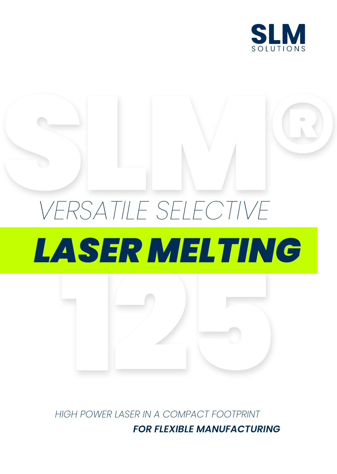

# VERSATILE SELECTIVE *VERSATILE SELECTIVE LASER MELTING*



*HIGH POWER LASER IN A COMPACT FOOTPRINT FOR FLEXIBLE MANUFACTURING*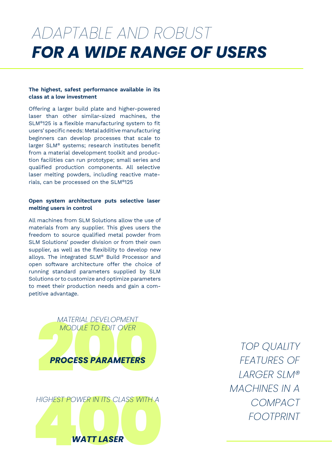### *FOR A WIDE RANGE OF USERS ADAPTABLE AND ROBUST*

#### **The highest, safest performance available in its class at a low investment**

Offering a larger build plate and higher-powered laser than other similar-sized machines, the SLM®125 is a flexible manufacturing system to fit users' specific needs: Metal additive manufacturing beginners can develop processes that scale to larger SLM® systems; research institutes benefit from a material development toolkit and production facilities can run prototype; small series and qualified production components. All selective laser melting powders, including reactive materials, can be processed on the SLM®125

### **Open system architecture puts selective laser melting users in control**

All machines from SLM Solutions allow the use of materials from any supplier. This gives users the freedom to source qualified metal powder from SLM Solutions' powder division or from their own supplier, as well as the flexibility to develop new alloys. The integrated SLM® Build Processor and open software architecture offer the choice of running standard parameters supplied by SLM Solutions or to customize and optimize parameters to meet their production needs and gain a competitive advantage.



*TOP QUALITY FEATURES OF LARGER SLM® MACHINES IN A COMPACT FOOTPRINT*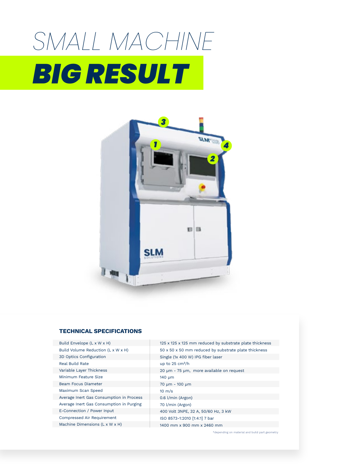# SMALL MACHINE *BIG RESULT*



#### **TECHNICAL SPECIFICATIONS**

| Build Envelope (L x W x H)               |
|------------------------------------------|
| Build Volume Reduction (L x W x H)       |
| 3D Optics Configuration                  |
| <b>Real Build Rate</b>                   |
| Variable Layer Thickness                 |
| Minimum Feature Size                     |
| Beam Focus Diameter                      |
| Maximum Scan Speed                       |
| Average Inert Gas Consumption in Process |
| Average Inert Gas Consumption in Purging |
| E-Connection / Power Input               |
| <b>Compressed Air Requirement</b>        |
| Machine Dimensions (L x W x H)           |

125 x 125 x 125 mm reduced by substrate plate thickness 50 x 50 x 50 mm reduced by substrate plate thickness Single (1x 400 W) IPG fiber laser up to  $25 \text{ cm}^3/h$ 20 µm - 75 µm, more available on request 140 µm 70 µm - 100 µm 10 m/s 0.6 l/min (Argon) 70 l/min (Argon) 400 Volt 3NPE, 32 A, 50/60 Hz, 3 kW ISO 8573-1:2010 [1:4:1] 7 bar 1400 mm x 900 mm x 2460 mm

\*depending on material and build part geometry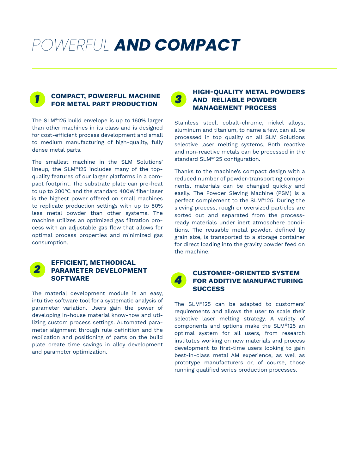### *POWERFUL AND COMPACT*



### **COMPACT, POWERFUL MACHINE FOR METAL PART PRODUCTION**

The SLM®125 build envelope is up to 160% larger than other machines in its class and is designed for cost-efficient process development and small to medium manufacturing of high-quality, fully dense metal parts.

The smallest machine in the SLM Solutions' lineup, the SLM®125 includes many of the topquality features of our larger platforms in a compact footprint. The substrate plate can pre-heat to up to 200°C and the standard 400W fiber laser is the highest power offered on small machines to replicate production settings with up to 80% less metal powder than other systems. The machine utilizes an optimized gas filtration process with an adjustable gas flow that allows for optimal process properties and minimized gas consumption.



### **EFFICIENT, METHODICAL PARAMETER DEVELOPMENT SOFTWARE**

The material development module is an easy, intuitive software tool for a systematic analysis of parameter variation. Users gain the power of developing in-house material know-how and utilizing custom process settings. Automated parameter alignment through rule definition and the replication and positioning of parts on the build plate create time savings in alloy development and parameter optimization.

#### *3* **HIGH-QUALITY METAL POWDERS AND RELIABLE POWDER MANAGEMENT PROCESS**

Stainless steel, cobalt-chrome, nickel alloys, aluminum and titanium, to name a few, can all be processed in top quality on all SLM Solutions selective laser melting systems. Both reactive and non-reactive metals can be processed in the standard SLM®125 configuration.

Thanks to the machine's compact design with a reduced number of powder-transporting components, materials can be changed quickly and easily. The Powder Sieving Machine (PSM) is a perfect complement to the SLM®125. During the sieving process, rough or oversized particles are sorted out and separated from the processready materials under inert atmosphere conditions. The reusable metal powder, defined by grain size, is transported to a storage container for direct loading into the gravity powder feed on the machine.



### **CUSTOMER-ORIENTED SYSTEM FOR ADDITIVE MANUFACTURING SUCCESS**

The SLM®125 can be adapted to customers' requirements and allows the user to scale their selective laser melting strategy. A variety of components and options make the SLM®125 an optimal system for all users, from research institutes working on new materials and process development to first-time users looking to gain best-in-class metal AM experience, as well as prototype manufacturers or, of course, those running qualified series production processes.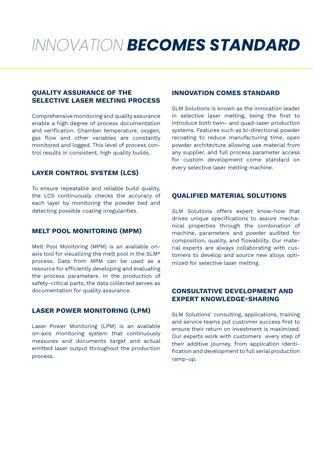### *INNOVATION BECOMES STANDARD*

### **QUALITY ASSURANCE OF THE SELECTIVE LASER MELTING PROCESS**

Comprehensive monitoring and quality assurance enable a high degree of process documentation and verification. Chamber temperature, oxygen, gas flow and other variables are constantly monitored and logged. This level of process control results in consistent, high quality builds.

### **LAYER CONTROL SYSTEM (LCS)**

To ensure repeatable and reliable build quality, the LCS continuously checks the accuracy of each layer by monitoring the powder bed and detecting possible coating irregularities.

### **MELT POOL MONITORING (MPM)**

Melt Pool Monitoring (MPM) is an available onaxis tool for visualizing the melt pool in the SLM® process. Data from MPM can be used as a resource for efficiently developing and evaluating the process parameters. In the production of safety-critical parts, the data collected serves as documentation for quality assurance.

### **LASER POWER MONITORING (LPM)**

Laser Power Monitoring (LPM) is an available on-axis monitoring system that continuously measures and documents target and actual emitted laser output throughout the production process.

### **INNOVATION COMES STANDARD**

SLM Solutions is known as the innovation leader in selective laser melting, being the first to introduce both twin- and quad-laser production systems. Features such as bi-directional powder recoating to reduce manufacturing time, open powder architecture allowing use material from any supplier, and full process parameter access for custom development come standard on every selective laser melting machine.

### **QUALIFIED MATERIAL SOLUTIONS**

SLM Solutions offers expert know-how that drives unique specifications to assure mechanical properties through the combination of machine, parameters and powder audited for composition, quality, and flowability. Our material experts are always collaborating with customers to develop and source new alloys optimized for selective laser melting.

### **CONSULTATIVE DEVELOPMENT AND EXPERT KNOWLEDGE-SHARING**

SLM Solutions' consulting, applications, training and service teams put customer success first to ensure their return on investment is maximized. Our experts work with customers every step of their additive journey, from application identification and development to full serial production ramp-up.